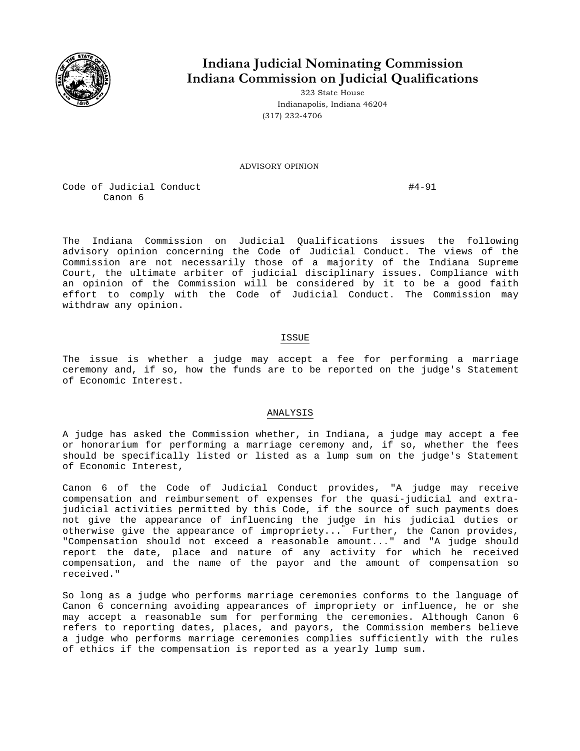

## **Indiana Judicial Nominating Commission Indiana Commission on Judicial Qualifications**

323 State House Indianapolis, Indiana 46204 (317) 232-4706

ADVISORY OPINION

Code of Judicial Conduct  $\#4-91$ Canon 6

The Indiana Commission on Judicial Qualifications issues the following advisory opinion concerning the Code of Judicial Conduct. The views of the Commission are not necessarily those of a majority of the Indiana Supreme Court, the ultimate arbiter of judicial disciplinary issues. Compliance with an opinion of the Commission will be considered by it to be a good faith effort to comply with the Code of Judicial Conduct. The Commission may withdraw any opinion.

## ISSUE

The issue is whether a judge may accept a fee for performing a marriage ceremony and, if so, how the funds are to be reported on the judge's Statement of Economic Interest.

## ANALYSIS

A judge has asked the Commission whether, in Indiana, a judge may accept a fee or honorarium for performing a marriage ceremony and, if so, whether the fees should be specifically listed or listed as a lump sum on the judge's Statement of Economic Interest,

Canon 6 of the Code of Judicial Conduct provides, "A judge may receive compensation and reimbursement of expenses for the quasi-judicial and extrajudicial activities permitted by this Code, if the source of such payments does not give the appearance of influencing the judge in his judicial duties or otherwise give the appearance of impropriety..." Further, the Canon provides, "Compensation should not exceed a reasonable amount..." and "A judge should report the date, place and nature of any activity for which he received compensation, and the name of the payor and the amount of compensation so received."

So long as a judge who performs marriage ceremonies conforms to the language of Canon 6 concerning avoiding appearances of impropriety or influence, he or she may accept a reasonable sum for performing the ceremonies. Although Canon 6 refers to reporting dates, places, and payors, the Commission members believe a judge who performs marriage ceremonies complies sufficiently with the rules of ethics if the compensation is reported as a yearly lump sum.